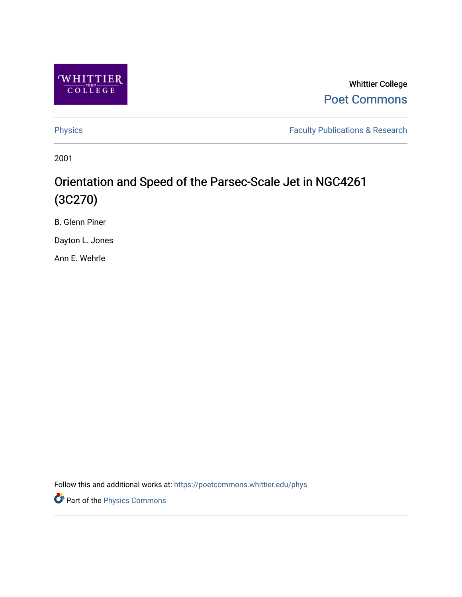

Whittier College [Poet Commons](https://poetcommons.whittier.edu/) 

[Physics](https://poetcommons.whittier.edu/phys) **Faculty Publications & Research Physics** 

2001

# Orientation and Speed of the Parsec-Scale Jet in NGC4261 (3C270)

B. Glenn Piner

Dayton L. Jones

Ann E. Wehrle

Follow this and additional works at: [https://poetcommons.whittier.edu/phys](https://poetcommons.whittier.edu/phys?utm_source=poetcommons.whittier.edu%2Fphys%2F11&utm_medium=PDF&utm_campaign=PDFCoverPages)

**P** Part of the [Physics Commons](http://network.bepress.com/hgg/discipline/193?utm_source=poetcommons.whittier.edu%2Fphys%2F11&utm_medium=PDF&utm_campaign=PDFCoverPages)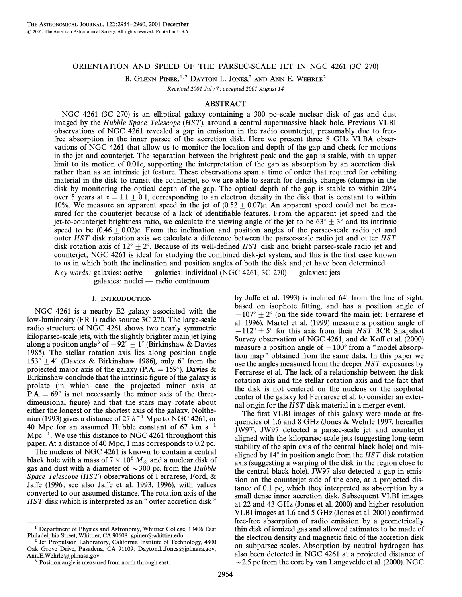# ORIENTATION AND SPEED OF THE PARSEC-SCALE JET IN NGC 4261 (3C 270)

B. GLENN PINER,<sup>1,2</sup> DAYTON L. JONES,<sup>2</sup> AND ANN E. WEHRLE<sup>2</sup>

Received 2001 July 7; accepted 2001 August 14

### ABSTRACT

NGC 4261 (3C 270) is an elliptical galaxy containing a 300 pc-scale nuclear disk of gas and dust imaged by the Hubble Space Telescope (HST), around a central supermassive black hole. Previous VLBI observations of NGC 4261 revealed a gap in emission in the radio counterjet, presumably due to freefree absorption in the inner parsec of the accretion disk. Here we present three 8 GHz VLBA observations of NGC 4261 that allow us to monitor the location and depth of the gap and check for motions in the jet and counterjet. The separation between the brightest peak and the gap is stable, with an upper limit to its motion of 0.01c, supporting the interpretation of the gap as absorption by an accretion disk rather than as an intrinsic jet feature. These observations span a time of order that required for orbiting material in the disk to transit the counterjet, so we are able to search for density changes (clumps) in the disk by monitoring the optical depth of the gap. The optical depth of the gap is stable to within 20% over 5 years at  $\tau = 1.1 + 0.1$ , corresponding to an electron density in the disk that is constant to within 10%. We measure an apparent speed in the jet of  $(0.52 \pm 0.07)c$ . An apparent speed could not be measured for the counterjet because of a lack of identifiable features. From the apparent jet speed and the jet-to-counterjet brightness ratio, we calculate the viewing angle of the jet to be  $63^{\circ} \pm 3^{\circ}$  and its intrinsic speed to be  $(0.46 \pm 0.02)c$ . From the inclination and position angles of the parsec-scale radio jet and outer HST disk rotation axis we calculate a difference between the parsec-scale radio jet and outer HST disk rotation axis of  $12^{\circ} \pm 2^{\circ}$ . Because of its well-defined HST disk and bright parsec-scale radio jet and counterjet, NGC 4261 is ideal for studying the combined disk-jet system, and this is the first case known to us in which both the inclination and position angles of both the disk and jet have been determined. Key words: galaxies: active — galaxies: individual (NGC 4261, 3C 270) — galaxies: jets —

galaxies: nuclei — radio continuum

#### 1. INTRODUCTION

NGC 4261 is a nearby E2 galaxy associated with the low-luminosity (FR I) radio source 3C 270. The large-scale radio structure of NGC 4261 shows two nearly symmetric kiloparsec-scale jets, with the slightly brighter main jet lying along a position angle<sup>3</sup> of  $-92° \pm 1°$  (Birkinshaw & Davies 1985). The stellar rotation axis lies along position angle  $153^{\circ} \pm 4^{\circ}$  (Davies & Birkinshaw 1986), only 6° from the projected major axis of the galaxy (P.A. = 159°). Davies & Birkinshaw conclude that the intrinsic figure of the galaxy is prolate (in which case the projected minor axis at  $P.A. = 69°$  is not necessarily the minor axis of the threedimensional figure) and that the stars may rotate about either the longest or the shortest axis of the galaxy. Nolthenius (1993) gives a distance of 27  $h^{-1}$  Mpc to NGC 4261, or 40 Mpc for an assumed Hubble constant of 67 km  $s^{-1}$  $Mpc^{-1}$ . We use this distance to NGC 4261 throughout this paper. At a distance of 40 Mpc, 1 mas corresponds to 0.2 pc.

The nucleus of NGC 4261 is known to contain a central black hole with a mass of  $7 \times 10^8 M_{\odot}$  and a nuclear disk of gas and dust with a diameter of  $\sim$ 300 pc, from the Hubble Space Telescope (HST) observations of Ferrarese, Ford,  $\&$ Jaffe (1996; see also Jaffe et al. 1993, 1996), with values converted to our assumed distance. The rotation axis of the  $HST$  disk (which is interpreted as an "outer accretion disk"

by Jaffe et al. 1993) is inclined  $64^\circ$  from the line of sight, based on isophote fitting, and has a position angle of  $-107$ <sup>°</sup>  $\pm$  2<sup>°</sup> (on the side toward the main jet; Ferrarese et al. 1996). Martel et al. (1999) measure a position angle of  $-112^{\circ} \pm 5^{\circ}$  for this axis from their HST 3CR Snapshot Survey observation of NGC 4261, and de Koff et al. (2000) measure a position angle of  $-100°$  from a "model absorption map" obtained from the same data. In this paper we use the angles measured from the deeper HST exposures by Ferrarese et al. The lack of a relationship between the disk rotation axis and the stellar rotation axis and the fact that the disk is not centered on the nucleus or the isophotal center of the galaxy led Ferrarese et al. to consider an external origin for the HST disk material in a merger event.

The first VLBI images of this galaxy were made at frequencies of 1.6 and 8 GHz (Jones & Wehrle 1997, hereafter JW97). JW97 detected a parsec-scale jet and counterjet aligned with the kiloparsec-scale jets (suggesting long-term stability of the spin axis of the central black hole) and misaligned by  $14^\circ$  in position angle from the HST disk rotation axis (suggesting a warping of the disk in the region close to the central black hole). JW97 also detected a gap in emission on the counterjet side of the core, at a projected distance of 0.1 pc, which they interpreted as absorption by a small dense inner accretion disk. Subsequent VLBI images at 22 and 43 GHz (Jones et al. 2000) and higher resolution VLBI images at 1.6 and 5 GHz (Jones et al. 2001) confirmed free-free absorption of radio emission by a geometrically thin disk of ionized gas and allowed estimates to be made of the electron density and magnetic field of the accretion disk on subparsec scales. Absorption by neutral hydrogen has also been detected in NGC 4261 at a projected distance of  $\sim$  2.5 pc from the core by van Langevelde et al. (2000). NGC

ÈÈÈÈÈÈÈÈÈÈÈÈÈÈÈ <sup>1</sup> Department of Physics and Astronomy, Whittier College, 13406 East Philadelphia Street, Whittier, CA 90608; gpiner@whittier.edu.

<sup>&</sup>lt;sup>2</sup> Jet Propulsion Laboratory, California Institute of Technology, 4800 Oak Grove Drive, Pasadena, CA 91109; Dayton.L.Jones@jpl.nasa.gov, Ann.E.Wehrle@jpl.nasa.gov.

<sup>&</sup>lt;sup>3</sup> Position angle is measured from north through east.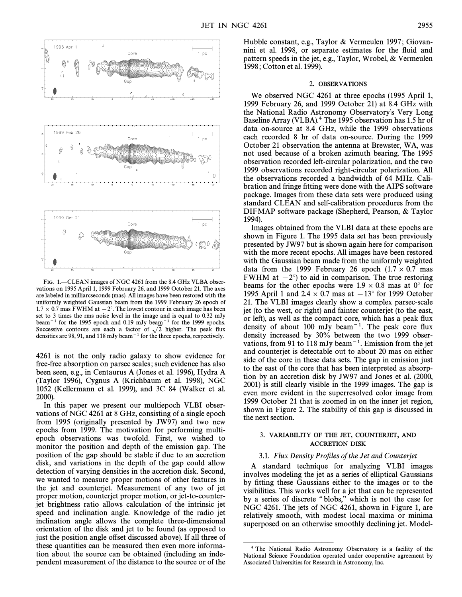

FIG. 1. - CLEAN images of NGC 4261 from the 8.4 GHz VLBA observations on 1995 April 1, 1999 February 26, and 1999 October 21. The axes are labeled in milliarcseconds (mas). All images have been restored with the uniformly weighted Gaussian beam from the 1999 February 26 epoch of  $1.7 \times 0.7$  mas FWHM at  $-2^{\circ}$ . The lowest contour in each image has been set to 3 times the rms noise level in the image and is equal to 0.32 mJy beam<sup>-1</sup> for the 1995 epoch and 0.19 mJy beam<sup>-1</sup> for the 1999 epochs. Successive contours are each a factor of  $\sqrt{2}$  higher. The peak flux densities are 98, 91, and 118 mJy beam<sup> $-1$ </sup> for the three epochs, respectively.

4261 is not the only radio galaxy to show evidence for free-free absorption on parsec scales ; such evidence has also been seen, e.g., in Centaurus A (Jones et al. 1996), Hydra A (Taylor 1996), Cygnus A (Krichbaum et al. 1998), NGC 1052 (Kellermann et al. 1999), and 3C 84 (Walker et al. 2000).

In this paper we present our multiepoch VLBI observations of NGC 4261 at 8 GHz, consisting of a single epoch from 1995 (originally presented by JW97) and two new epochs from 1999. The motivation for performing multiepoch observations was twofold. First, we wished to monitor the position and depth of the emission gap. The position of the gap should be stable if due to an accretion disk, and variations in the depth of the gap could allow detection of varying densities in the accretion disk. Second, we wanted to measure proper motions of other features in the jet and counterjet. Measurement of any two of jet proper motion, counterjet proper motion, or jet-to-counterjet brightness ratio allows calculation of the intrinsic jet speed and inclination angle. Knowledge of the radio jet inclination angle allows the complete three-dimensional orientation of the disk and jet to be found (as opposed to just the position angle offset discussed above). If all three of these quantities can be measured then even more information about the source can be obtained (including an independent measurement of the distance to the source or of the Hubble constant, e.g., Taylor & Vermeulen 1997; Giovannini et al. 1998, or separate estimates for the Ñuid and pattern speeds in the jet, e.g., Taylor, Wrobel, & Vermeulen 1998 ; Cotton et al. 1999).

#### 2. OBSERVATIONS

We observed NGC 4261 at three epochs (1995 April 1, 1999 February 26, and 1999 October 21) at 8.4 GHz with the National Radio Astronomy Observatory's Very Long Baseline Array (VLBA).<sup>4</sup> The 1995 observation has 1.5 hr of data on-source at 8.4 GHz, while the 1999 observations each recorded 8 hr of data on-source. During the 1999 October 21 observation the antenna at Brewster, WA, was not used because of a broken azimuth bearing. The 1995 observation recorded left-circular polarization, and the two 1999 observations recorded right-circular polarization. All the observations recorded a bandwidth of 64 MHz. Calibration and fringe fitting were done with the AIPS software package. Images from these data sets were produced using standard CLEAN and self-calibration procedures from the DIFMAP software package (Shepherd, Pearson, & Taylor 1994).

Images obtained from the VLBI data at these epochs are shown in Figure 1. The 1995 data set has been previously presented by JW97 but is shown again here for comparison with the more recent epochs. All images have been restored with the Gaussian beam made from the uniformly weighted data from the 1999 February 26 epoch  $(1.7 \times 0.7 \text{ mas})$ FWHM at  $-2^{\circ}$  to aid in comparison. The true restoring beams for the other epochs were  $1.9 \times 0.8$  mas at 0° for 1995 April 1 and 2.4  $\times$  0.7 mas at  $-13°$  for 1999 October 21. The VLBI images clearly show a complex parsec-scale jet (to the west, or right) and fainter counterjet (to the east, or left), as well as the compact core, which has a peak flux density of about 100 mJy beam<sup> $-1$ </sup>. The peak core flux density increased by 30% between the two 1999 observations, from 91 to 118 mJy beam<sup> $-1$ </sup>. Emission from the jet and counterjet is detectable out to about 20 mas on either side of the core in these data sets. The gap in emission just to the east of the core that has been interpreted as absorption by an accretion disk by JW97 and Jones et al. (2000, 2001) is still clearly visible in the 1999 images. The gap is even more evident in the superresolved color image from 1999 October 21 that is zoomed in on the inner jet region, shown in Figure 2. The stability of this gap is discussed in the next section.

# 3. VARIABILITY OF THE JET, COUNTERJET, AND ACCRETION DISK

#### 3.1. Flux Density Profiles of the Jet and Counterjet

A standard technique for analyzing VLBI images involves modeling the jet as a series of elliptical Gaussians by fitting these Gaussians either to the images or to the visibilities. This works well for a jet that can be represented by a series of discrete "blobs," which is not the case for NGC 4261. The jets of NGC 4261, shown in Figure 1, are relatively smooth, with modest local maxima or minima superposed on an otherwise smoothly declining jet. Model-

ÈÈÈÈÈÈÈÈÈÈÈÈÈÈÈ

<sup>4</sup> The National Radio Astronomy Observatory is a facility of the National Science Foundation operated under cooperative agreement by Associated Universities for Research in Astronomy, Inc.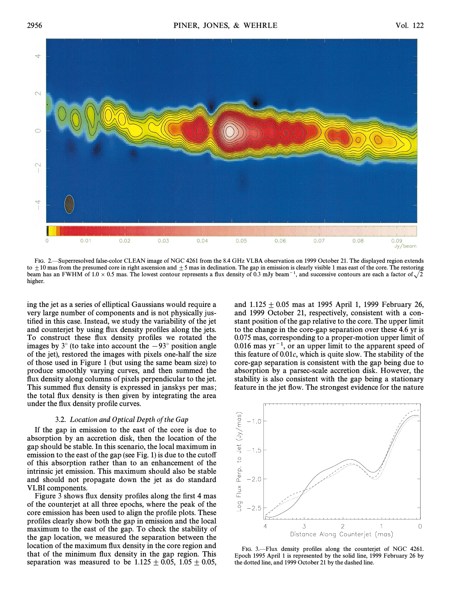

FIG. 2.—Superresolved false-color CLEAN image of NGC 4261 from the 8.4 GHz VLBA observation on 1999 October 21. The displayed region extends to  $\pm 10$  mas from the presumed core in right ascension and  $\pm 5$  mas in declination. The gap in emission is clearly visible 1 mas east of the core. The restoring beam has an FWHM of 1.0  $\times$  0.5 mas. The lowest contour represents a flux density of 0.3 mJy beam<sup>-1</sup>, and successive contours are each a factor of  $\sqrt{2}$ higher.

ing the jet as a series of elliptical Gaussians would require a very large number of components and is not physically justified in this case. Instead, we study the variability of the jet and counterjet by using flux density profiles along the jets. To construct these flux density profiles we rotated the images by  $3^\circ$  (to take into account the  $-93^\circ$  position angle of the jet), restored the images with pixels one-half the size of those used in Figure 1 (but using the same beam size) to produce smoothly varying curves, and then summed the flux density along columns of pixels perpendicular to the jet. This summed flux density is expressed in janskys per mas; the total Ñux density is then given by integrating the area under the flux density profile curves.

### 3.2. Location and Optical Depth of the Gap

If the gap in emission to the east of the core is due to absorption by an accretion disk, then the location of the gap should be stable. In this scenario, the local maximum in emission to the east of the gap (see Fig. 1) is due to the cutoff of this absorption rather than to an enhancement of the intrinsic jet emission. This maximum should also be stable and should not propagate down the jet as do standard VLBI components.

Figure 3 shows flux density profiles along the first 4 mas of the counterjet at all three epochs, where the peak of the core emission has been used to align the profile plots. These profiles clearly show both the gap in emission and the local maximum to the east of the gap. To check the stability of the gap location, we measured the separation between the location of the maximum flux density in the core region and that of the minimum Ñux density in the gap region. This separation was measured to be  $1.125 \pm 0.05$ ,  $1.05 \pm 0.05$ ,

and  $1.125 \pm 0.05$  mas at 1995 April 1, 1999 February 26, and 1999 October 21, respectively, consistent with a constant position of the gap relative to the core. The upper limit to the change in the core-gap separation over these 4.6 yr is 0.075 mas, corresponding to a proper-motion upper limit of 0.016 mas  $yr^{-1}$ , or an upper limit to the apparent speed of this feature of  $0.01c$ , which is quite slow. The stability of the core-gap separation is consistent with the gap being due to absorption by a parsec-scale accretion disk. However, the stability is also consistent with the gap being a stationary feature in the jet Ñow. The strongest evidence for the nature



FIG. 3.—Flux density profiles along the counterjet of NGC 4261. Epoch 1995 April 1 is represented by the solid line, 1999 February 26 by the dotted line, and 1999 October 21 by the dashed line.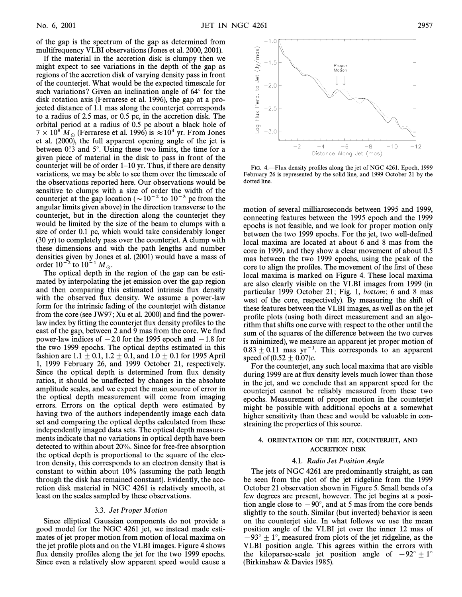of the gap is the spectrum of the gap as determined from multifrequency VLBI observations (Jones et al. 2000, 2001).

If the material in the accretion disk is clumpy then we might expect to see variations in the depth of the gap as regions of the accretion disk of varying density pass in front of the counterjet. What would be the expected timescale for such variations? Given an inclination angle of  $64^\circ$  for the disk rotation axis (Ferrarese et al. 1996), the gap at a projected distance of 1.1 mas along the counterjet corresponds to a radius of 2.5 mas, or 0.5 pc, in the accretion disk. The orbital period at a radius of 0.5 pc about a black hole of  $7 \times 10^8$  M<sub>\o</sub> (Ferrarese et al. 1996) is  $\approx 10^3$  yr. From Jones et al. (2000), the full apparent opening angle of the jet is between  $0^\circ$ 3 and  $5^\circ$ . Using these two limits, the time for a given piece of material in the disk to pass in front of the counterjet will be of order  $1-10$  yr. Thus, if there are density variations, we may be able to see them over the timescale of the observations reported here. Our observations would be sensitive to clumps with a size of order the width of the counterjet at the gap location ( $\sim 10^{-2}$  to  $10^{-3}$  pc from the angular limits given above) in the direction transverse to the counterjet, but in the direction along the counterjet they would be limited by the size of the beam to clumps with a size of order 0.1 pc, which would take considerably longer (30 yr) to completely pass over the counterjet. A clump with these dimensions and with the path lengths and number densities given by Jones et al. (2001) would have a mass of order  $10^{-2}$  to  $10^{-1} M_{\odot}$ .

The optical depth in the region of the gap can be estimated by interpolating the jet emission over the gap region and then comparing this estimated intrinsic flux density with the observed flux density. We assume a power-law form for the intrinsic fading of the counterjet with distance from the core (see JW97; Xu et al. 2000) and find the powerlaw index by fitting the counterjet flux density profiles to the east of the gap, between 2 and 9 mas from the core. We find power-law indices of  $-2.0$  for the 1995 epoch and  $-1.8$  for the two 1999 epochs. The optical depths estimated in this fashion are 1.1  $\pm$  0.1, 1.2  $\pm$  0.1, and 1.0  $\pm$  0.1 for 1995 April 1, 1999 February 26, and 1999 October 21, respectively. Since the optical depth is determined from flux density ratios, it should be una†ected by changes in the absolute amplitude scales, and we expect the main source of error in the optical depth measurement will come from imaging errors. Errors on the optical depth were estimated by having two of the authors independently image each data set and comparing the optical depths calculated from these independently imaged data sets. The optical depth measurements indicate that no variations in optical depth have been detected to within about 20%. Since for free-free absorption the optical depth is proportional to the square of the electron density, this corresponds to an electron density that is constant to within about 10% (assuming the path length through the disk has remained constant). Evidently, the accretion disk material in NGC 4261 is relatively smooth, at least on the scales sampled by these observations.

#### 3.3. Jet Proper Motion

Since elliptical Gaussian components do not provide a good model for the NGC 4261 jet, we instead made estimates of jet proper motion from motion of local maxima on the jet profile plots and on the VLBI images. Figure 4 shows flux density profiles along the jet for the two 1999 epochs. Since even a relatively slow apparent speed would cause a



FIG. 4.—Flux density profiles along the jet of NGC 4261. Epoch, 1999 February 26 is represented by the solid line, and 1999 October 21 by the dotted line.

motion of several milliarcseconds between 1995 and 1999, connecting features between the 1995 epoch and the 1999 epochs is not feasible, and we look for proper motion only between the two 1999 epochs. For the jet, two well-defined local maxima are located at about 6 and 8 mas from the core in 1999, and they show a clear movement of about 0.5 mas between the two 1999 epochs, using the peak of the core to align the profiles. The movement of the first of these local maxima is marked on Figure 4. These local maxima are also clearly visible on the VLBI images from 1999 (in particular 1999 October 21; Fig. 1, *bottom*; 6 and 8 mas west of the core, respectively). By measuring the shift of these features between the VLBI images, as well as on the jet profile plots (using both direct measurement and an algorithm that shifts one curve with respect to the other until the sum of the squares of the difference between the two curves is minimized), we measure an apparent jet proper motion of  $0.83 \pm 0.11$  mas yr<sup>-1</sup>. This corresponds to an apparent speed of  $(0.52 + 0.07)c$ .

For the counterjet, any such local maxima that are visible during 1999 are at flux density levels much lower than those in the jet, and we conclude that an apparent speed for the counterjet cannot be reliably measured from these two epochs. Measurement of proper motion in the counterjet might be possible with additional epochs at a somewhat higher sensitivity than these and would be valuable in constraining the properties of this source.

# 4. ORIENTATION OF THE JET, COUNTERJET, AND ACCRETION DISK

#### 4.1. Radio Jet Position Angle

The jets of NGC 4261 are predominantly straight, as can be seen from the plot of the jet ridgeline from the 1999 October 21 observation shown in Figure 5. Small bends of a few degrees are present, however. The jet begins at a position angle close to  $-90^\circ$ , and at 5 mas from the core bends slightly to the south. Similar (but inverted) behavior is seen on the counterjet side. In what follows we use the mean position angle of the VLBI jet over the inner 12 mas of  $-93^\circ \pm 1^\circ$ , measured from plots of the jet ridgeline, as the VLBI position angle. This agrees within the errors with the kiloparsec-scale jet position angle of  $-92^\circ \pm 1^\circ$ (Birkinshaw & Davies 1985).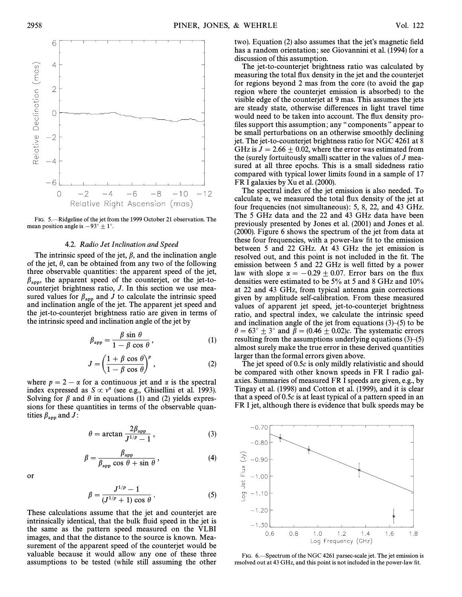

FIG. 5.-Ridgeline of the jet from the 1999 October 21 observation. The mean position angle is  $-93° \pm 1°$ .

#### 4.2. Radio Jet Inclination and Speed

The intrinsic speed of the jet,  $\beta$ , and the inclination angle of the jet,  $\theta$ , can be obtained from any two of the following three observable quantities : the apparent speed of the jet,  $\beta_{\rm app}$ , the apparent speed of the counterjet, or the jet-tocounterjet brightness ratio, J. In this section we use measured values for  $\beta_{app}$  and J to calculate the intrinsic speed and inclination angle of the jet. The apparent jet speed and the jet-to-counterjet brightness ratio are given in terms of the intrinsic speed and inclination angle of the jet by

$$
\beta_{\rm app} = \frac{\beta \sin \theta}{1 - \beta \cos \theta},\tag{1}
$$

$$
J = \left(\frac{1 + \beta \cos \theta}{1 - \beta \cos \theta}\right)^p, \tag{2}
$$

where  $p = 2 - \alpha$  for a continuous jet and  $\alpha$  is the spectral index expressed as  $S \propto v^{\alpha}$  (see e.g., Ghisellini et al. 1993). Solving for  $\beta$  and  $\theta$  in equations (1) and (2) yields expressions for these quantities in terms of the observable quantities  $\beta_{\rm app}$  and J:

$$
\theta = \arctan \frac{2\beta_{\rm app}}{J^{1/p} - 1},\tag{3}
$$

$$
\beta = \frac{\beta_{\rm app}}{\beta_{\rm app} \cos \theta + \sin \theta},\tag{4}
$$

or

$$
\beta = \frac{J^{1/p} - 1}{(J^{1/p} + 1) \cos \theta}.
$$
 (5)

These calculations assume that the jet and counterjet are intrinsically identical, that the bulk fluid speed in the jet is the same as the pattern speed measured on the VLBI images, and that the distance to the source is known. Measurement of the apparent speed of the counterjet would be valuable because it would allow any one of these three assumptions to be tested (while still assuming the other

two). Equation (2) also assumes that the jet's magnetic field has a random orientation; see Giovannini et al. (1994) for a discussion of this assumption.

The jet-to-counterjet brightness ratio was calculated by measuring the total flux density in the jet and the counterjet for regions beyond 2 mas from the core (to avoid the gap region where the counterjet emission is absorbed) to the visible edge of the counterjet at 9 mas. This assumes the jets are steady state, otherwise differences in light travel time would need to be taken into account. The flux density profiles support this assumption; any "components" appear to be small perturbations on an otherwise smoothly declining jet. The jet-to-counterjet brightness ratio for NGC 4261 at 8 GHz is  $J = 2.66 \pm 0.02$ , where the error was estimated from the (surely fortuitously small) scatter in the values of  $J$  measured at all three epochs. This is a small sidedness ratio compared with typical lower limits found in a sample of 17 FR I galaxies by Xu et al. (2000).

The spectral index of the jet emission is also needed. To calculate  $\alpha$ , we measured the total flux density of the jet at four frequencies (not simultaneous): 5, 8, 22, and 43 GHz. The 5 GHz data and the 22 and 43 GHz data have been previously presented by Jones et al. (2001) and Jones et al. (2000). Figure 6 shows the spectrum of the jet from data at these four frequencies, with a power-law fit to the emission between 5 and 22 GHz. At 43 GHz the jet emission is resolved out, and this point is not included in the fit. The emission between 5 and 22 GHz is well fitted by a power law with slope  $\alpha = -0.29 \pm 0.07$ . Error bars on the flux densities were estimated to be 5% at 5 and 8 GHz and 10% at 22 and 43 GHz, from typical antenna gain corrections given by amplitude self-calibration. From these measured values of apparent jet speed, jet-to-counterjet brightness ratio, and spectral index, we calculate the intrinsic speed and inclination angle of the jet from equations  $(3)$ – $(5)$  to be  $\theta = 63^\circ \pm 3^\circ$  and  $\beta = (0.46 \pm 0.02)c$ . The systematic errors resulting from the assumptions underlying equations  $(3)$ <sup> $(5)$ </sup> almost surely make the true error in these derived quantities larger than the formal errors given above.

The jet speed of 0.5c is only mildly relativistic and should be compared with other known speeds in FR I radio galaxies. Summaries of measured FR I speeds are given, e.g., by Tingay et al. (1998) and Cotton et al. (1999), and it is clear that a speed of 0.5c is at least typical of a pattern speed in an FR I jet, although there is evidence that bulk speeds may be



FIG. 6. Spectrum of the NGC 4261 parsec-scale jet. The jet emission is resolved out at 43 GHz, and this point is not included in the power-law fit.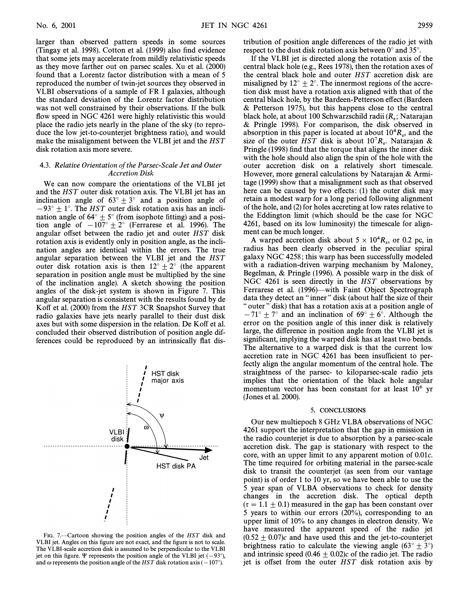larger than observed pattern speeds in some sources (Tingay et al. 1998). Cotton et al. (1999) also find evidence that some jets may accelerate from mildly relativistic speeds as they move farther out on parsec scales. Xu et al. (2000) found that a Lorentz factor distribution with a mean of 5 reproduced the number of twin-jet sources they observed in VLBI observations of a sample of FR I galaxies, although the standard deviation of the Lorentz factor distribution was not well constrained by their observations. If the bulk flow speed in NGC 4261 were highly relativistic this would place the radio jets nearly in the plane of the sky (to reproduce the low jet-to-counterjet brightness ratio), and would make the misalignment between the VLBI jet and the HST disk rotation axis more severe.

### 4.3. Relative Orientation of the Parsec-Scale Jet and Outer Accretion Disk

We can now compare the orientations of the VLBI jet and the HST outer disk rotation axis. The VLBI jet has an inclination angle of  $63^\circ \pm 3^\circ$  and a position angle of  $-93^\circ \pm 1^\circ$ . The HST outer disk rotation axis has an inclination angle of  $64^{\circ} \pm 5^{\circ}$  (from isophote fitting) and a position angle of  $-107° \pm 2°$  (Ferrarese et al. 1996). The angular offset between the radio jet and outer HST disk rotation axis is evidently only in position angle, as the inclination angles are identical within the errors. The true angular separation between the VLBI jet and the HST outer disk rotation axis is then  $12^{\circ} \pm 2^{\circ}$  (the apparent separation in position angle must be multiplied by the sine of the inclination angle). A sketch showing the position angles of the disk-jet system is shown in Figure 7. This angular separation is consistent with the results found by de Koff et al. (2000) from the HST 3CR Snapshot Survey that radio galaxies have jets nearly parallel to their dust disk axes but with some dispersion in the relation. De Koff et al. concluded their observed distribution of position angle differences could be reproduced by an intrinsically flat dis-



FIG. 7. $-Cartoon$  showing the position angles of the HST disk and VLBI jet. Angles on this figure are not exact, and the figure is not to scale. The VLBI-scale accretion disk is assumed to be perpendicular to the VLBI jet on this figure.  $\Psi$  represents the position angle of the VLBI jet (-93°), and  $\omega$  represents the position angle of the HST disk rotation axis ( $-107^{\circ}$ ).

tribution of position angle di†erences of the radio jet with respect to the dust disk rotation axis between  $0^{\circ}$  and 35°.

If the VLBI jet is directed along the rotation axis of the central black hole (e.g., Rees 1978), then the rotation axes of the central black hole and outer HST accretion disk are misaligned by  $12^{\circ} \pm 2^{\circ}$ . The innermost regions of the accretion disk must have a rotation axis aligned with that of the central black hole, by the Bardeen-Petterson effect (Bardeen & Petterson 1975), but this happens close to the central black hole, at about 100 Schwarzschild radii  $(R_s)$ ; Natarajan  $R_s$  Pringle 1998). For comparison, the disk observed in & Pringle 1998). For comparison, the disk observed in absorption in this paper is located at about  $10^4 R_s$ , and the 104  $R_s$  of the outer HST disk is about  $10^7 R_s$ . Nataraian  $\&$ size of the outer HST disk is about  $10^7R_s$ . Natarajan &  $10^{7}R_s$  extends (1998) find that the torque that aligns the inner disk Pringle (1998) find that the torque that aligns the inner disk with the hole should also align the spin of the hole with the outer accretion disk on a relatively short timescale. However, more general calculations by Natarajan & Armitage (1999) show that a misalignment such as that observed here can be caused by two effects:  $(1)$  the outer disk may retain a modest warp for a long period following alignment of the hole, and (2) for holes accreting at low rates relative to the Eddington limit (which should be the case for NGC 4261, based on its low luminosity) the timescale for alignment can be much longer.

A warped accretion disk about  $5 \times 10^4 R_s$ , or 0.2 pc, in  $\frac{1}{2}$  pc heap clearly observed in the peculiar spiral radius has been clearly observed in the peculiar spiral galaxy NGC 4258 ; this warp has been successfully modeled with a radiation-driven warping mechanism by Maloney, Begelman, & Pringle (1996). A possible warp in the disk of NGC 4261 is seen directly in the HST observations by Ferrarese et al. (1996)—with Faint Object Spectrograph data they detect an "inner" disk (about half the size of their " outer" disk) that has a rotation axis at a position angle of  $-71^\circ \pm 7^\circ$  and an inclination of 69°  $\pm$  6°. Although the error on the position angle of this inner disk is relatively large, the difference in position angle from the VLBI jet is significant, implying the warped disk has at least two bends. The alternative to a warped disk is that the current low accretion rate in NGC 4261 has been insufficient to perfectly align the angular momentum of the central hole. The straightness of the parsec- to kiloparsec-scale radio jets implies that the orientation of the black hole angular momentum vector has been constant for at least  $10^6$  yr (Jones et al. 2000).

### 5. CONCLUSIONS

Our new multiepoch 8 GHz VLBA observations of NGC 4261 support the interpretation that the gap in emission in the radio counterjet is due to absorption by a parsec-scale accretion disk. The gap is stationary with respect to the core, with an upper limit to any apparent motion of 0.01c. The time required for orbiting material in the parsec-scale disk to transit the counterjet (as seen from our vantage point) is of order 1 to 10 yr, so we have been able to use the 5 year span of VLBA observations to check for density changes in the accretion disk. The optical depth  $(\tau = 1.1 \pm 0.1)$  measured in the gap has been constant over 5 years to within our errors (20%), corresponding to an upper limit of 10% to any changes in electron density. We have measured the apparent speed of the radio jet  $(0.52 \pm 0.07)c$  and have used this and the jet-to-counterjet brightness ratio to calculate the viewing angle  $(63^{\circ} \pm 3^{\circ})$ and intrinsic speed  $(0.46 \pm 0.02)c$  of the radio jet. The radio jet is offset from the outer HST disk rotation axis by